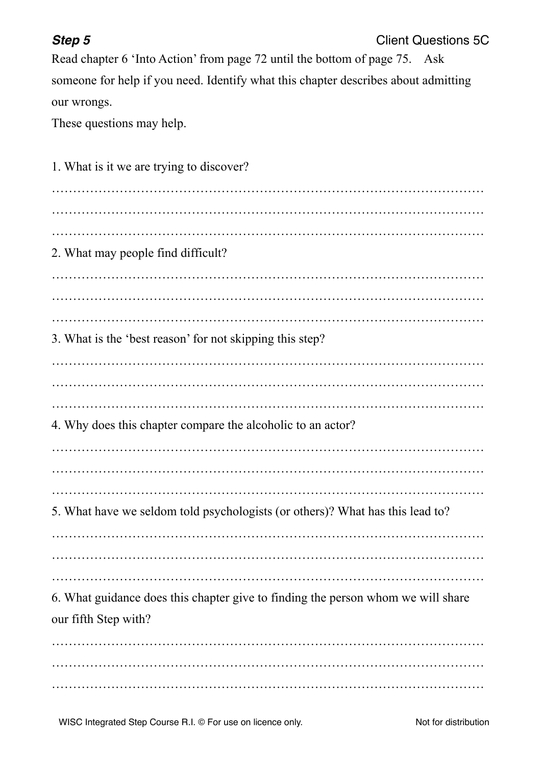## **Step 5 Client Questions 5C**

Read chapter 6 'Into Action' from page 72 until the bottom of page 75. Ask someone for help if you need. Identify what this chapter describes about admitting our wrongs.

These questions may help.

| 1. What is it we are trying to discover?                                                                 |
|----------------------------------------------------------------------------------------------------------|
| 2. What may people find difficult?                                                                       |
|                                                                                                          |
| 3. What is the 'best reason' for not skipping this step?                                                 |
| 4. Why does this chapter compare the alcoholic to an actor?                                              |
| 5. What have we seldom told psychologists (or others)? What has this lead to?                            |
| 6. What guidance does this chapter give to finding the person whom we will share<br>our fifth Step with? |
|                                                                                                          |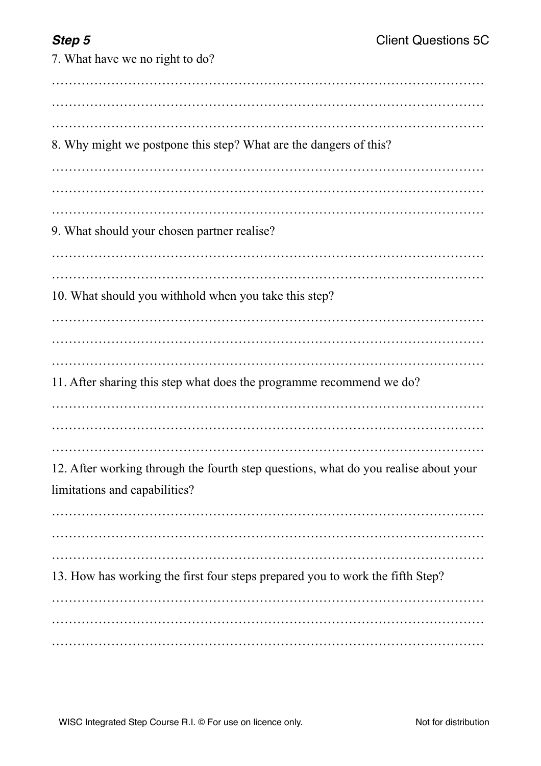7. What have we no right to do? ………………………………………………………………………………………… ………………………………………………………………………………………… ………………………………………………………………………………………… 8. Why might we postpone this step? What are the dangers of this? ………………………………………………………………………………………… ………………………………………………………………………………………… ………………………………………………………………………………………… 9. What should your chosen partner realise? ………………………………………………………………………………………… ………………………………………………………………………………………… 10. What should you withhold when you take this step? ………………………………………………………………………………………… ………………………………………………………………………………………… 11. After sharing this step what does the programme recommend we do? ………………………………………………………………………………………… ………………………………………………………………………………………… 12. After working through the fourth step questions, what do you realise about your limitations and capabilities? ………………………………………………………………………………………… ………………………………………………………………………………………… ………………………………………………………………………………………… 13. How has working the first four steps prepared you to work the fifth Step? ………………………………………………………………………………………… ………………………………………………………………………………………… …………………………………………………………………………………………